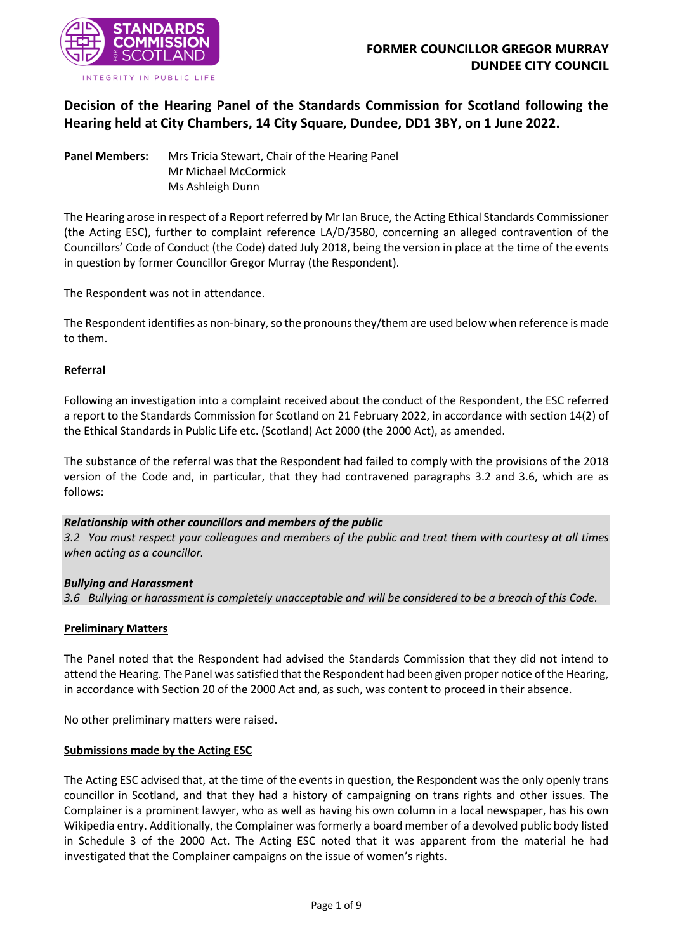

**Decision of the Hearing Panel of the Standards Commission for Scotland following the Hearing held at City Chambers, 14 City Square, Dundee, DD1 3BY, on 1 June 2022.**

**Panel Members:** Mrs Tricia Stewart, Chair of the Hearing Panel Mr Michael McCormick Ms Ashleigh Dunn

The Hearing arose in respect of a Report referred by Mr Ian Bruce, the Acting Ethical Standards Commissioner (the Acting ESC), further to complaint reference LA/D/3580, concerning an alleged contravention of the Councillors' Code of Conduct (the Code) dated July 2018, being the version in place at the time of the events in question by former Councillor Gregor Murray (the Respondent).

The Respondent was not in attendance.

The Respondent identifies as non-binary, so the pronouns they/them are used below when reference is made to them.

### **Referral**

Following an investigation into a complaint received about the conduct of the Respondent, the ESC referred a report to the Standards Commission for Scotland on 21 February 2022, in accordance with section 14(2) of the Ethical Standards in Public Life etc. (Scotland) Act 2000 (the 2000 Act), as amended.

The substance of the referral was that the Respondent had failed to comply with the provisions of the 2018 version of the Code and, in particular, that they had contravened paragraphs 3.2 and 3.6, which are as follows:

#### *Relationship with other councillors and members of the public*

*3.2 You must respect your colleagues and members of the public and treat them with courtesy at all times when acting as a councillor.*

#### *Bullying and Harassment*

*3.6 Bullying or harassment is completely unacceptable and will be considered to be a breach of this Code.*

#### **Preliminary Matters**

The Panel noted that the Respondent had advised the Standards Commission that they did not intend to attend the Hearing. The Panel was satisfied that the Respondent had been given proper notice of the Hearing, in accordance with Section 20 of the 2000 Act and, as such, was content to proceed in their absence.

No other preliminary matters were raised.

#### **Submissions made by the Acting ESC**

The Acting ESC advised that, at the time of the events in question, the Respondent was the only openly trans councillor in Scotland, and that they had a history of campaigning on trans rights and other issues. The Complainer is a prominent lawyer, who as well as having his own column in a local newspaper, has his own Wikipedia entry. Additionally, the Complainer was formerly a board member of a devolved public body listed in Schedule 3 of the 2000 Act. The Acting ESC noted that it was apparent from the material he had investigated that the Complainer campaigns on the issue of women's rights.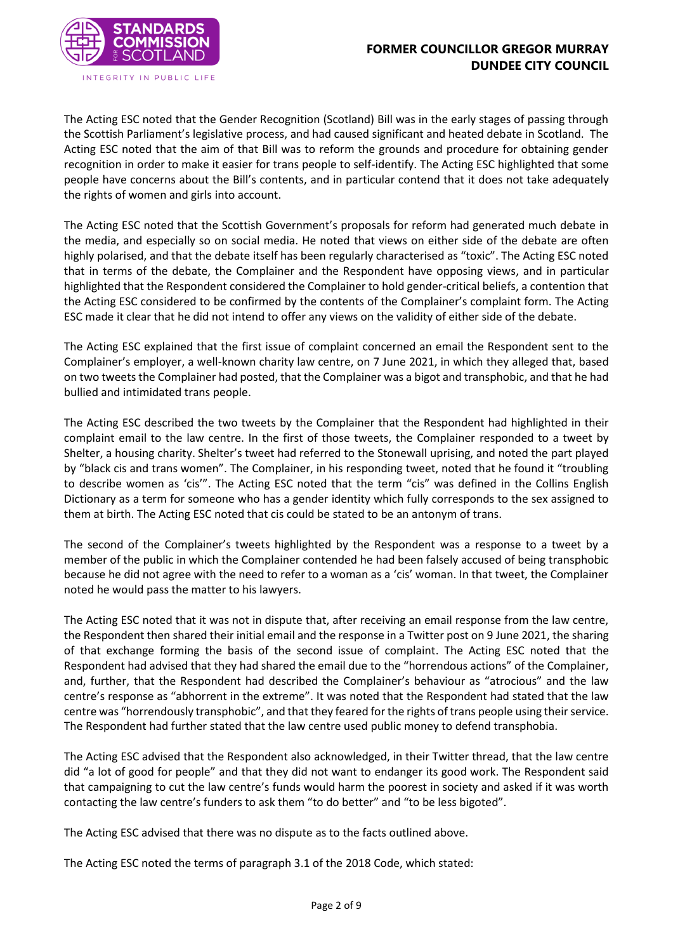

The Acting ESC noted that the Gender Recognition (Scotland) Bill was in the early stages of passing through the Scottish Parliament's legislative process, and had caused significant and heated debate in Scotland. The Acting ESC noted that the aim of that Bill was to reform the grounds and procedure for obtaining gender recognition in order to make it easier for trans people to self-identify. The Acting ESC highlighted that some people have concerns about the Bill's contents, and in particular contend that it does not take adequately the rights of women and girls into account.

The Acting ESC noted that the Scottish Government's proposals for reform had generated much debate in the media, and especially so on social media. He noted that views on either side of the debate are often highly polarised, and that the debate itself has been regularly characterised as "toxic". The Acting ESC noted that in terms of the debate, the Complainer and the Respondent have opposing views, and in particular highlighted that the Respondent considered the Complainer to hold gender-critical beliefs, a contention that the Acting ESC considered to be confirmed by the contents of the Complainer's complaint form. The Acting ESC made it clear that he did not intend to offer any views on the validity of either side of the debate.

The Acting ESC explained that the first issue of complaint concerned an email the Respondent sent to the Complainer's employer, a well-known charity law centre, on 7 June 2021, in which they alleged that, based on two tweets the Complainer had posted, that the Complainer was a bigot and transphobic, and that he had bullied and intimidated trans people.

The Acting ESC described the two tweets by the Complainer that the Respondent had highlighted in their complaint email to the law centre. In the first of those tweets, the Complainer responded to a tweet by Shelter, a housing charity. Shelter's tweet had referred to the Stonewall uprising, and noted the part played by "black cis and trans women". The Complainer, in his responding tweet, noted that he found it "troubling to describe women as 'cis'". The Acting ESC noted that the term "cis" was defined in the Collins English Dictionary as a term for someone who has a gender identity which fully corresponds to the sex assigned to them at birth. The Acting ESC noted that cis could be stated to be an antonym of trans.

The second of the Complainer's tweets highlighted by the Respondent was a response to a tweet by a member of the public in which the Complainer contended he had been falsely accused of being transphobic because he did not agree with the need to refer to a woman as a 'cis' woman. In that tweet, the Complainer noted he would pass the matter to his lawyers.

The Acting ESC noted that it was not in dispute that, after receiving an email response from the law centre, the Respondent then shared their initial email and the response in a Twitter post on 9 June 2021, the sharing of that exchange forming the basis of the second issue of complaint. The Acting ESC noted that the Respondent had advised that they had shared the email due to the "horrendous actions" of the Complainer, and, further, that the Respondent had described the Complainer's behaviour as "atrocious" and the law centre's response as "abhorrent in the extreme". It was noted that the Respondent had stated that the law centre was "horrendously transphobic", and that they feared for the rights of trans people using their service. The Respondent had further stated that the law centre used public money to defend transphobia.

The Acting ESC advised that the Respondent also acknowledged, in their Twitter thread, that the law centre did "a lot of good for people" and that they did not want to endanger its good work. The Respondent said that campaigning to cut the law centre's funds would harm the poorest in society and asked if it was worth contacting the law centre's funders to ask them "to do better" and "to be less bigoted".

The Acting ESC advised that there was no dispute as to the facts outlined above.

The Acting ESC noted the terms of paragraph 3.1 of the 2018 Code, which stated: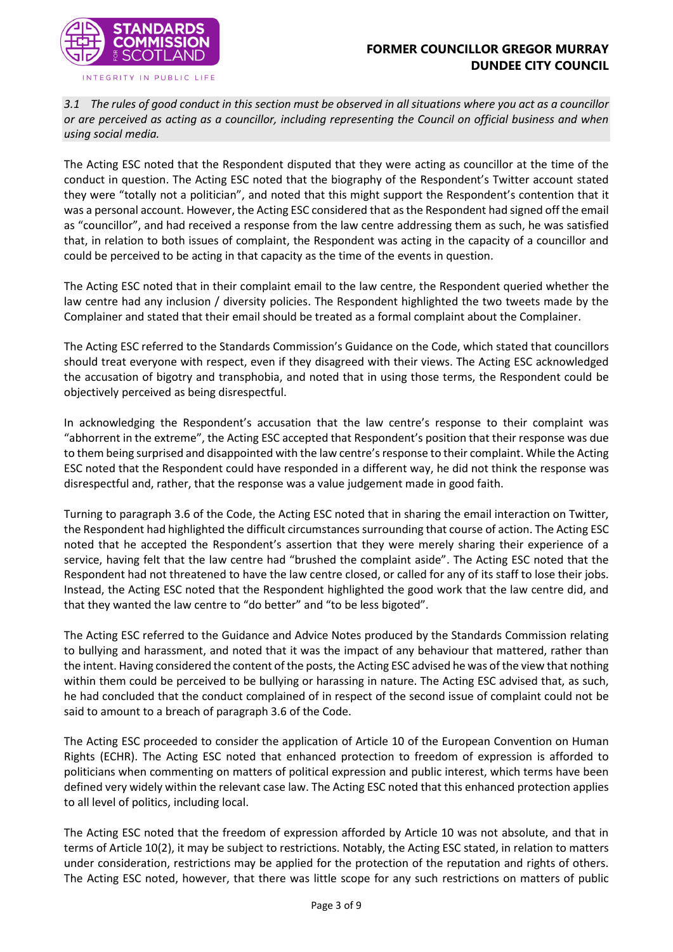



*3.1 The rules of good conduct in this section must be observed in all situations where you act as a councillor or are perceived as acting as a councillor, including representing the Council on official business and when using social media.*

The Acting ESC noted that the Respondent disputed that they were acting as councillor at the time of the conduct in question. The Acting ESC noted that the biography of the Respondent's Twitter account stated they were "totally not a politician", and noted that this might support the Respondent's contention that it was a personal account. However, the Acting ESC considered that as the Respondent had signed off the email as "councillor", and had received a response from the law centre addressing them as such, he was satisfied that, in relation to both issues of complaint, the Respondent was acting in the capacity of a councillor and could be perceived to be acting in that capacity as the time of the events in question.

The Acting ESC noted that in their complaint email to the law centre, the Respondent queried whether the law centre had any inclusion / diversity policies. The Respondent highlighted the two tweets made by the Complainer and stated that their email should be treated as a formal complaint about the Complainer.

The Acting ESC referred to the Standards Commission's Guidance on the Code, which stated that councillors should treat everyone with respect, even if they disagreed with their views. The Acting ESC acknowledged the accusation of bigotry and transphobia, and noted that in using those terms, the Respondent could be objectively perceived as being disrespectful.

In acknowledging the Respondent's accusation that the law centre's response to their complaint was "abhorrent in the extreme", the Acting ESC accepted that Respondent's position that their response was due to them being surprised and disappointed with the law centre's response to their complaint. While the Acting ESC noted that the Respondent could have responded in a different way, he did not think the response was disrespectful and, rather, that the response was a value judgement made in good faith.

Turning to paragraph 3.6 of the Code, the Acting ESC noted that in sharing the email interaction on Twitter, the Respondent had highlighted the difficult circumstances surrounding that course of action. The Acting ESC noted that he accepted the Respondent's assertion that they were merely sharing their experience of a service, having felt that the law centre had "brushed the complaint aside". The Acting ESC noted that the Respondent had not threatened to have the law centre closed, or called for any of its staff to lose their jobs. Instead, the Acting ESC noted that the Respondent highlighted the good work that the law centre did, and that they wanted the law centre to "do better" and "to be less bigoted".

The Acting ESC referred to the Guidance and Advice Notes produced by the Standards Commission relating to bullying and harassment, and noted that it was the impact of any behaviour that mattered, rather than the intent. Having considered the content of the posts, the Acting ESC advised he was of the view that nothing within them could be perceived to be bullying or harassing in nature. The Acting ESC advised that, as such, he had concluded that the conduct complained of in respect of the second issue of complaint could not be said to amount to a breach of paragraph 3.6 of the Code.

The Acting ESC proceeded to consider the application of Article 10 of the European Convention on Human Rights (ECHR). The Acting ESC noted that enhanced protection to freedom of expression is afforded to politicians when commenting on matters of political expression and public interest, which terms have been defined very widely within the relevant case law. The Acting ESC noted that this enhanced protection applies to all level of politics, including local.

The Acting ESC noted that the freedom of expression afforded by Article 10 was not absolute, and that in terms of Article 10(2), it may be subject to restrictions. Notably, the Acting ESC stated, in relation to matters under consideration, restrictions may be applied for the protection of the reputation and rights of others. The Acting ESC noted, however, that there was little scope for any such restrictions on matters of public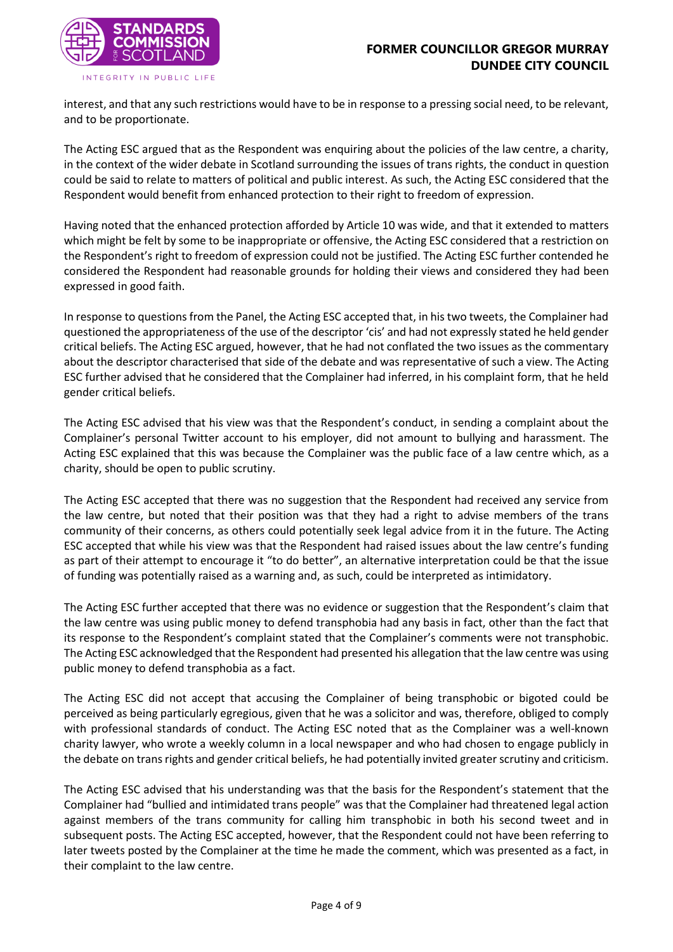

interest, and that any such restrictions would have to be in response to a pressing social need, to be relevant, and to be proportionate.

The Acting ESC argued that as the Respondent was enquiring about the policies of the law centre, a charity, in the context of the wider debate in Scotland surrounding the issues of trans rights, the conduct in question could be said to relate to matters of political and public interest. As such, the Acting ESC considered that the Respondent would benefit from enhanced protection to their right to freedom of expression.

Having noted that the enhanced protection afforded by Article 10 was wide, and that it extended to matters which might be felt by some to be inappropriate or offensive, the Acting ESC considered that a restriction on the Respondent's right to freedom of expression could not be justified. The Acting ESC further contended he considered the Respondent had reasonable grounds for holding their views and considered they had been expressed in good faith.

In response to questions from the Panel, the Acting ESC accepted that, in his two tweets, the Complainer had questioned the appropriateness of the use of the descriptor 'cis' and had not expressly stated he held gender critical beliefs. The Acting ESC argued, however, that he had not conflated the two issues as the commentary about the descriptor characterised that side of the debate and was representative of such a view. The Acting ESC further advised that he considered that the Complainer had inferred, in his complaint form, that he held gender critical beliefs.

The Acting ESC advised that his view was that the Respondent's conduct, in sending a complaint about the Complainer's personal Twitter account to his employer, did not amount to bullying and harassment. The Acting ESC explained that this was because the Complainer was the public face of a law centre which, as a charity, should be open to public scrutiny.

The Acting ESC accepted that there was no suggestion that the Respondent had received any service from the law centre, but noted that their position was that they had a right to advise members of the trans community of their concerns, as others could potentially seek legal advice from it in the future. The Acting ESC accepted that while his view was that the Respondent had raised issues about the law centre's funding as part of their attempt to encourage it "to do better", an alternative interpretation could be that the issue of funding was potentially raised as a warning and, as such, could be interpreted as intimidatory.

The Acting ESC further accepted that there was no evidence or suggestion that the Respondent's claim that the law centre was using public money to defend transphobia had any basis in fact, other than the fact that its response to the Respondent's complaint stated that the Complainer's comments were not transphobic. The Acting ESC acknowledged that the Respondent had presented his allegation that the law centre was using public money to defend transphobia as a fact.

The Acting ESC did not accept that accusing the Complainer of being transphobic or bigoted could be perceived as being particularly egregious, given that he was a solicitor and was, therefore, obliged to comply with professional standards of conduct. The Acting ESC noted that as the Complainer was a well-known charity lawyer, who wrote a weekly column in a local newspaper and who had chosen to engage publicly in the debate on trans rights and gender critical beliefs, he had potentially invited greater scrutiny and criticism.

The Acting ESC advised that his understanding was that the basis for the Respondent's statement that the Complainer had "bullied and intimidated trans people" was that the Complainer had threatened legal action against members of the trans community for calling him transphobic in both his second tweet and in subsequent posts. The Acting ESC accepted, however, that the Respondent could not have been referring to later tweets posted by the Complainer at the time he made the comment, which was presented as a fact, in their complaint to the law centre.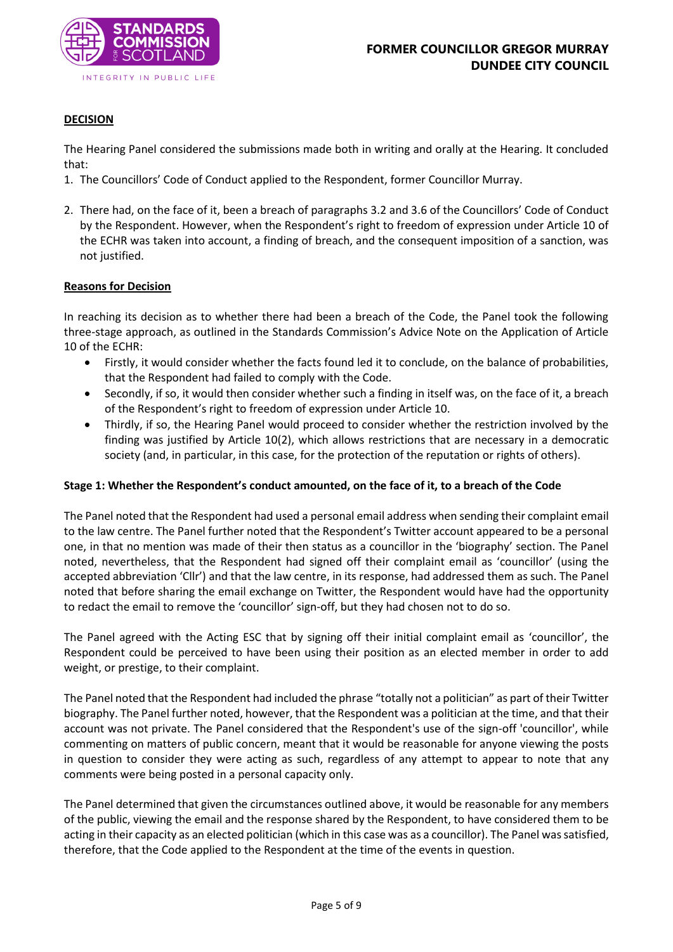

## **DECISION**

The Hearing Panel considered the submissions made both in writing and orally at the Hearing. It concluded that:

- 1. The Councillors' Code of Conduct applied to the Respondent, former Councillor Murray.
- 2. There had, on the face of it, been a breach of paragraphs 3.2 and 3.6 of the Councillors' Code of Conduct by the Respondent. However, when the Respondent's right to freedom of expression under Article 10 of the ECHR was taken into account, a finding of breach, and the consequent imposition of a sanction, was not justified.

#### **Reasons for Decision**

In reaching its decision as to whether there had been a breach of the Code, the Panel took the following three-stage approach, as outlined in the Standards Commission's Advice Note on the Application of Article 10 of the ECHR:

- Firstly, it would consider whether the facts found led it to conclude, on the balance of probabilities, that the Respondent had failed to comply with the Code.
- Secondly, if so, it would then consider whether such a finding in itself was, on the face of it, a breach of the Respondent's right to freedom of expression under Article 10.
- Thirdly, if so, the Hearing Panel would proceed to consider whether the restriction involved by the finding was justified by Article 10(2), which allows restrictions that are necessary in a democratic society (and, in particular, in this case, for the protection of the reputation or rights of others).

#### **Stage 1: Whether the Respondent's conduct amounted, on the face of it, to a breach of the Code**

The Panel noted that the Respondent had used a personal email address when sending their complaint email to the law centre. The Panel further noted that the Respondent's Twitter account appeared to be a personal one, in that no mention was made of their then status as a councillor in the 'biography' section. The Panel noted, nevertheless, that the Respondent had signed off their complaint email as 'councillor' (using the accepted abbreviation 'Cllr') and that the law centre, in its response, had addressed them as such. The Panel noted that before sharing the email exchange on Twitter, the Respondent would have had the opportunity to redact the email to remove the 'councillor' sign-off, but they had chosen not to do so.

The Panel agreed with the Acting ESC that by signing off their initial complaint email as 'councillor', the Respondent could be perceived to have been using their position as an elected member in order to add weight, or prestige, to their complaint.

The Panel noted that the Respondent had included the phrase "totally not a politician" as part of their Twitter biography. The Panel further noted, however, that the Respondent was a politician at the time, and that their account was not private. The Panel considered that the Respondent's use of the sign-off 'councillor', while commenting on matters of public concern, meant that it would be reasonable for anyone viewing the posts in question to consider they were acting as such, regardless of any attempt to appear to note that any comments were being posted in a personal capacity only.

The Panel determined that given the circumstances outlined above, it would be reasonable for any members of the public, viewing the email and the response shared by the Respondent, to have considered them to be acting in their capacity as an elected politician (which in this case was as a councillor). The Panel was satisfied, therefore, that the Code applied to the Respondent at the time of the events in question.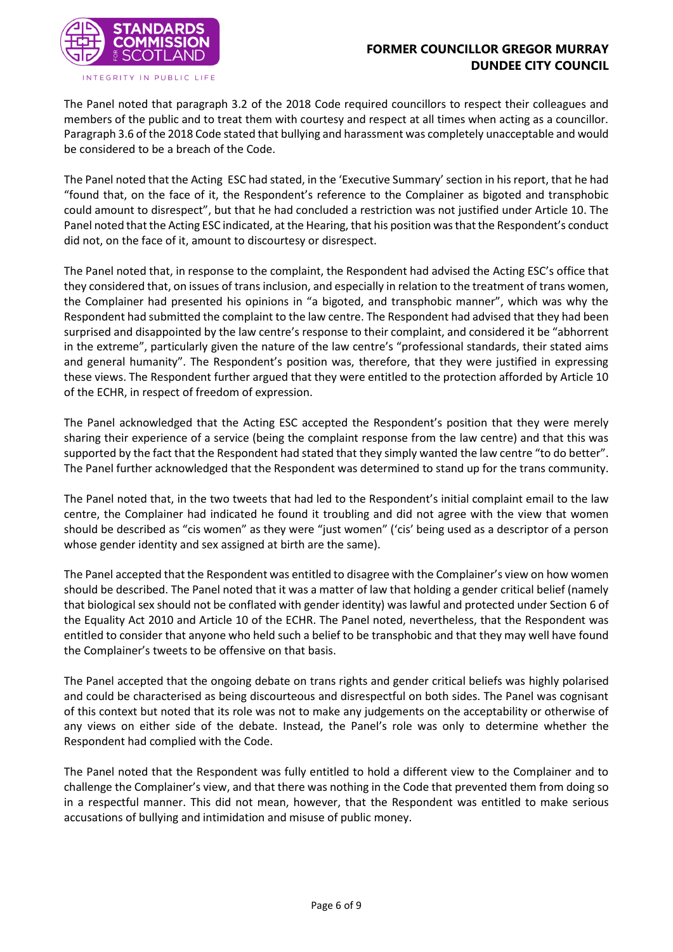

The Panel noted that paragraph 3.2 of the 2018 Code required councillors to respect their colleagues and members of the public and to treat them with courtesy and respect at all times when acting as a councillor. Paragraph 3.6 of the 2018 Code stated that bullying and harassment was completely unacceptable and would be considered to be a breach of the Code.

The Panel noted that the Acting ESC had stated, in the 'Executive Summary' section in his report, that he had "found that, on the face of it, the Respondent's reference to the Complainer as bigoted and transphobic could amount to disrespect", but that he had concluded a restriction was not justified under Article 10. The Panel noted that the Acting ESC indicated, at the Hearing, that his position was that the Respondent's conduct did not, on the face of it, amount to discourtesy or disrespect.

The Panel noted that, in response to the complaint, the Respondent had advised the Acting ESC's office that they considered that, on issues of trans inclusion, and especially in relation to the treatment of trans women, the Complainer had presented his opinions in "a bigoted, and transphobic manner", which was why the Respondent had submitted the complaint to the law centre. The Respondent had advised that they had been surprised and disappointed by the law centre's response to their complaint, and considered it be "abhorrent in the extreme", particularly given the nature of the law centre's "professional standards, their stated aims and general humanity". The Respondent's position was, therefore, that they were justified in expressing these views. The Respondent further argued that they were entitled to the protection afforded by Article 10 of the ECHR, in respect of freedom of expression.

The Panel acknowledged that the Acting ESC accepted the Respondent's position that they were merely sharing their experience of a service (being the complaint response from the law centre) and that this was supported by the fact that the Respondent had stated that they simply wanted the law centre "to do better". The Panel further acknowledged that the Respondent was determined to stand up for the trans community.

The Panel noted that, in the two tweets that had led to the Respondent's initial complaint email to the law centre, the Complainer had indicated he found it troubling and did not agree with the view that women should be described as "cis women" as they were "just women" ('cis' being used as a descriptor of a person whose gender identity and sex assigned at birth are the same).

The Panel accepted that the Respondent was entitled to disagree with the Complainer's view on how women should be described. The Panel noted that it was a matter of law that holding a gender critical belief (namely that biological sex should not be conflated with gender identity) was lawful and protected under Section 6 of the Equality Act 2010 and Article 10 of the ECHR. The Panel noted, nevertheless, that the Respondent was entitled to consider that anyone who held such a belief to be transphobic and that they may well have found the Complainer's tweets to be offensive on that basis.

The Panel accepted that the ongoing debate on trans rights and gender critical beliefs was highly polarised and could be characterised as being discourteous and disrespectful on both sides. The Panel was cognisant of this context but noted that its role was not to make any judgements on the acceptability or otherwise of any views on either side of the debate. Instead, the Panel's role was only to determine whether the Respondent had complied with the Code.

The Panel noted that the Respondent was fully entitled to hold a different view to the Complainer and to challenge the Complainer's view, and that there was nothing in the Code that prevented them from doing so in a respectful manner. This did not mean, however, that the Respondent was entitled to make serious accusations of bullying and intimidation and misuse of public money.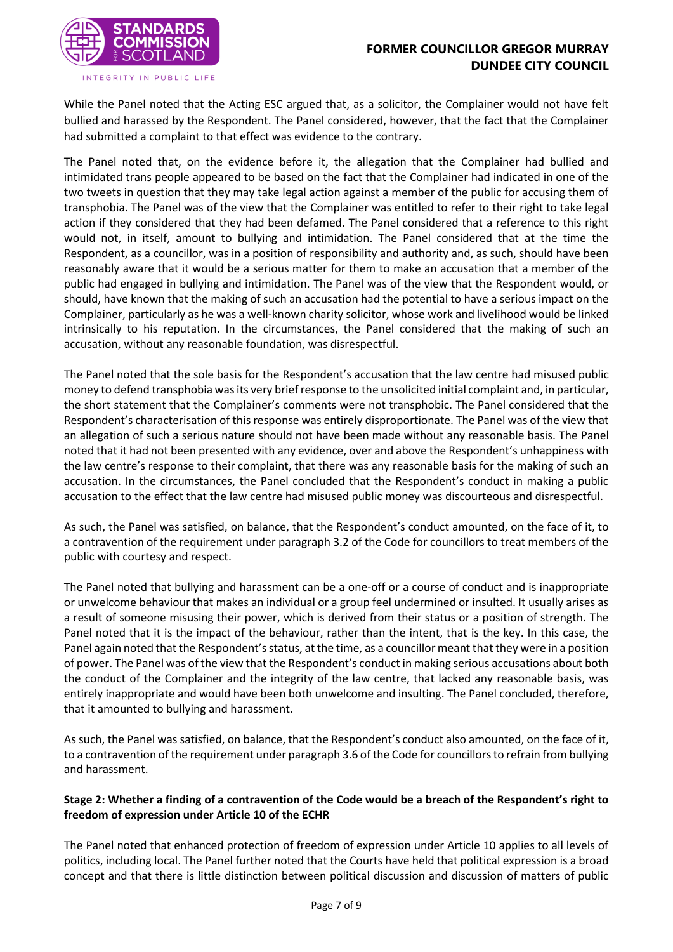

INTEGRITY IN PUBLIC LIFE

While the Panel noted that the Acting ESC argued that, as a solicitor, the Complainer would not have felt bullied and harassed by the Respondent. The Panel considered, however, that the fact that the Complainer had submitted a complaint to that effect was evidence to the contrary.

The Panel noted that, on the evidence before it, the allegation that the Complainer had bullied and intimidated trans people appeared to be based on the fact that the Complainer had indicated in one of the two tweets in question that they may take legal action against a member of the public for accusing them of transphobia. The Panel was of the view that the Complainer was entitled to refer to their right to take legal action if they considered that they had been defamed. The Panel considered that a reference to this right would not, in itself, amount to bullying and intimidation. The Panel considered that at the time the Respondent, as a councillor, was in a position of responsibility and authority and, as such, should have been reasonably aware that it would be a serious matter for them to make an accusation that a member of the public had engaged in bullying and intimidation. The Panel was of the view that the Respondent would, or should, have known that the making of such an accusation had the potential to have a serious impact on the Complainer, particularly as he was a well-known charity solicitor, whose work and livelihood would be linked intrinsically to his reputation. In the circumstances, the Panel considered that the making of such an accusation, without any reasonable foundation, was disrespectful.

The Panel noted that the sole basis for the Respondent's accusation that the law centre had misused public money to defend transphobia was its very brief response to the unsolicited initial complaint and, in particular, the short statement that the Complainer's comments were not transphobic. The Panel considered that the Respondent's characterisation of this response was entirely disproportionate. The Panel was of the view that an allegation of such a serious nature should not have been made without any reasonable basis. The Panel noted that it had not been presented with any evidence, over and above the Respondent's unhappiness with the law centre's response to their complaint, that there was any reasonable basis for the making of such an accusation. In the circumstances, the Panel concluded that the Respondent's conduct in making a public accusation to the effect that the law centre had misused public money was discourteous and disrespectful.

As such, the Panel was satisfied, on balance, that the Respondent's conduct amounted, on the face of it, to a contravention of the requirement under paragraph 3.2 of the Code for councillors to treat members of the public with courtesy and respect.

The Panel noted that bullying and harassment can be a one-off or a course of conduct and is inappropriate or unwelcome behaviour that makes an individual or a group feel undermined or insulted. It usually arises as a result of someone misusing their power, which is derived from their status or a position of strength. The Panel noted that it is the impact of the behaviour, rather than the intent, that is the key. In this case, the Panel again noted that the Respondent's status, at the time, as a councillor meant that they were in a position of power. The Panel was of the view that the Respondent's conduct in making serious accusations about both the conduct of the Complainer and the integrity of the law centre, that lacked any reasonable basis, was entirely inappropriate and would have been both unwelcome and insulting. The Panel concluded, therefore, that it amounted to bullying and harassment.

As such, the Panel was satisfied, on balance, that the Respondent's conduct also amounted, on the face of it, to a contravention of the requirement under paragraph 3.6 of the Code for councillorsto refrain from bullying and harassment.

# **Stage 2: Whether a finding of a contravention of the Code would be a breach of the Respondent's right to freedom of expression under Article 10 of the ECHR**

The Panel noted that enhanced protection of freedom of expression under Article 10 applies to all levels of politics, including local. The Panel further noted that the Courts have held that political expression is a broad concept and that there is little distinction between political discussion and discussion of matters of public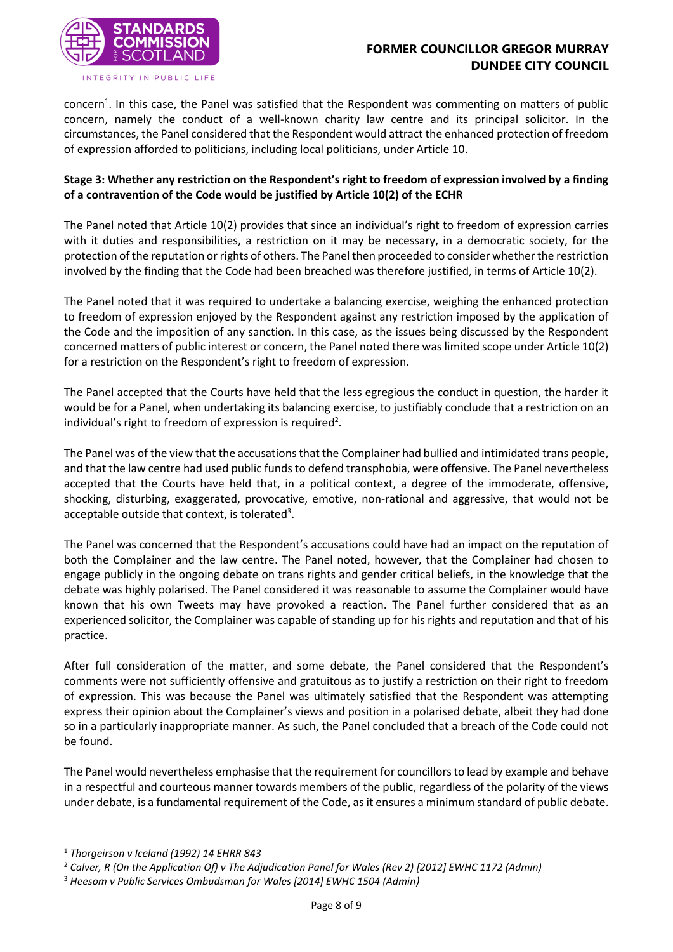

concern<sup>1</sup>. In this case, the Panel was satisfied that the Respondent was commenting on matters of public concern, namely the conduct of a well-known charity law centre and its principal solicitor. In the circumstances, the Panel considered that the Respondent would attract the enhanced protection of freedom of expression afforded to politicians, including local politicians, under Article 10.

# **Stage 3: Whether any restriction on the Respondent's right to freedom of expression involved by a finding of a contravention of the Code would be justified by Article 10(2) of the ECHR**

The Panel noted that Article 10(2) provides that since an individual's right to freedom of expression carries with it duties and responsibilities, a restriction on it may be necessary, in a democratic society, for the protection of the reputation or rights of others. The Panel then proceeded to consider whether the restriction involved by the finding that the Code had been breached was therefore justified, in terms of Article 10(2).

The Panel noted that it was required to undertake a balancing exercise, weighing the enhanced protection to freedom of expression enjoyed by the Respondent against any restriction imposed by the application of the Code and the imposition of any sanction. In this case, as the issues being discussed by the Respondent concerned matters of public interest or concern, the Panel noted there was limited scope under Article 10(2) for a restriction on the Respondent's right to freedom of expression.

The Panel accepted that the Courts have held that the less egregious the conduct in question, the harder it would be for a Panel, when undertaking its balancing exercise, to justifiably conclude that a restriction on an individual's right to freedom of expression is required<sup>2</sup>.

The Panel was of the view that the accusations that the Complainer had bullied and intimidated trans people, and that the law centre had used public funds to defend transphobia, were offensive. The Panel nevertheless accepted that the Courts have held that, in a political context, a degree of the immoderate, offensive, shocking, disturbing, exaggerated, provocative, emotive, non-rational and aggressive, that would not be acceptable outside that context, is tolerated<sup>3</sup>.

The Panel was concerned that the Respondent's accusations could have had an impact on the reputation of both the Complainer and the law centre. The Panel noted, however, that the Complainer had chosen to engage publicly in the ongoing debate on trans rights and gender critical beliefs, in the knowledge that the debate was highly polarised. The Panel considered it was reasonable to assume the Complainer would have known that his own Tweets may have provoked a reaction. The Panel further considered that as an experienced solicitor, the Complainer was capable of standing up for his rights and reputation and that of his practice.

After full consideration of the matter, and some debate, the Panel considered that the Respondent's comments were not sufficiently offensive and gratuitous as to justify a restriction on their right to freedom of expression. This was because the Panel was ultimately satisfied that the Respondent was attempting express their opinion about the Complainer's views and position in a polarised debate, albeit they had done so in a particularly inappropriate manner. As such, the Panel concluded that a breach of the Code could not be found.

The Panel would nevertheless emphasise that the requirement for councillors to lead by example and behave in a respectful and courteous manner towards members of the public, regardless of the polarity of the views under debate, is a fundamental requirement of the Code, as it ensures a minimum standard of public debate.

-

<sup>1</sup> *Thorgeirson v Iceland (1992) 14 EHRR 843*

<sup>2</sup> *Calver, R (On the Application Of) v The Adjudication Panel for Wales (Rev 2) [2012] EWHC 1172 (Admin)*

<sup>3</sup> *Heesom v Public Services Ombudsman for Wales [2014] EWHC 1504 (Admin)*